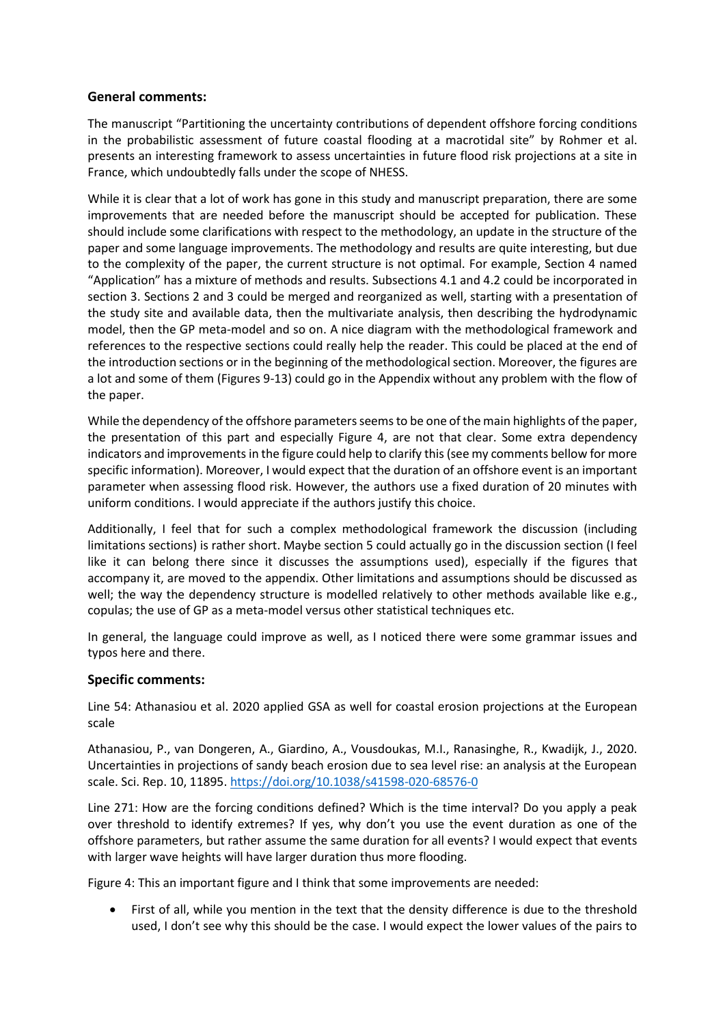## **General comments:**

The manuscript "Partitioning the uncertainty contributions of dependent offshore forcing conditions in the probabilistic assessment of future coastal flooding at a macrotidal site" by Rohmer et al. presents an interesting framework to assess uncertainties in future flood risk projections at a site in France, which undoubtedly falls under the scope of NHESS.

While it is clear that a lot of work has gone in this study and manuscript preparation, there are some improvements that are needed before the manuscript should be accepted for publication. These should include some clarifications with respect to the methodology, an update in the structure of the paper and some language improvements. The methodology and results are quite interesting, but due to the complexity of the paper, the current structure is not optimal. For example, Section 4 named "Application" has a mixture of methods and results. Subsections 4.1 and 4.2 could be incorporated in section 3. Sections 2 and 3 could be merged and reorganized as well, starting with a presentation of the study site and available data, then the multivariate analysis, then describing the hydrodynamic model, then the GP meta-model and so on. A nice diagram with the methodological framework and references to the respective sections could really help the reader. This could be placed at the end of the introduction sections or in the beginning of the methodological section. Moreover, the figures are a lot and some of them (Figures 9-13) could go in the Appendix without any problem with the flow of the paper.

While the dependency of the offshore parameters seems to be one of the main highlights of the paper, the presentation of this part and especially Figure 4, are not that clear. Some extra dependency indicators and improvements in the figure could help to clarify this (see my comments bellow for more specific information). Moreover, I would expect that the duration of an offshore event is an important parameter when assessing flood risk. However, the authors use a fixed duration of 20 minutes with uniform conditions. I would appreciate if the authors justify this choice.

Additionally, I feel that for such a complex methodological framework the discussion (including limitations sections) is rather short. Maybe section 5 could actually go in the discussion section (I feel like it can belong there since it discusses the assumptions used), especially if the figures that accompany it, are moved to the appendix. Other limitations and assumptions should be discussed as well; the way the dependency structure is modelled relatively to other methods available like e.g., copulas; the use of GP as a meta-model versus other statistical techniques etc.

In general, the language could improve as well, as I noticed there were some grammar issues and typos here and there.

## **Specific comments:**

Line 54: Athanasiou et al. 2020 applied GSA as well for coastal erosion projections at the European scale

Athanasiou, P., van Dongeren, A., Giardino, A., Vousdoukas, M.I., Ranasinghe, R., Kwadijk, J., 2020. Uncertainties in projections of sandy beach erosion due to sea level rise: an analysis at the European scale. Sci. Rep. 10, 11895.<https://doi.org/10.1038/s41598-020-68576-0>

Line 271: How are the forcing conditions defined? Which is the time interval? Do you apply a peak over threshold to identify extremes? If yes, why don't you use the event duration as one of the offshore parameters, but rather assume the same duration for all events? I would expect that events with larger wave heights will have larger duration thus more flooding.

Figure 4: This an important figure and I think that some improvements are needed:

• First of all, while you mention in the text that the density difference is due to the threshold used, I don't see why this should be the case. I would expect the lower values of the pairs to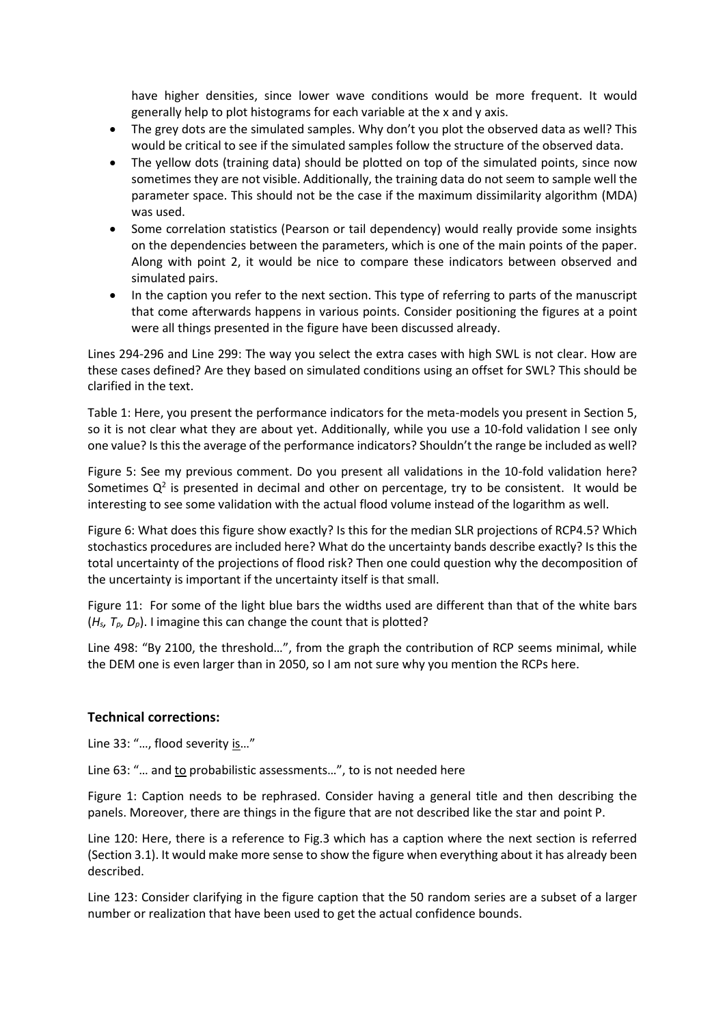have higher densities, since lower wave conditions would be more frequent. It would generally help to plot histograms for each variable at the x and y axis.

- The grey dots are the simulated samples. Why don't you plot the observed data as well? This would be critical to see if the simulated samples follow the structure of the observed data.
- The yellow dots (training data) should be plotted on top of the simulated points, since now sometimes they are not visible. Additionally, the training data do not seem to sample well the parameter space. This should not be the case if the maximum dissimilarity algorithm (MDA) was used.
- Some correlation statistics (Pearson or tail dependency) would really provide some insights on the dependencies between the parameters, which is one of the main points of the paper. Along with point 2, it would be nice to compare these indicators between observed and simulated pairs.
- In the caption you refer to the next section. This type of referring to parts of the manuscript that come afterwards happens in various points. Consider positioning the figures at a point were all things presented in the figure have been discussed already.

Lines 294-296 and Line 299: The way you select the extra cases with high SWL is not clear. How are these cases defined? Are they based on simulated conditions using an offset for SWL? This should be clarified in the text.

Table 1: Here, you present the performance indicators for the meta-models you present in Section 5, so it is not clear what they are about yet. Additionally, while you use a 10-fold validation I see only one value? Is this the average of the performance indicators? Shouldn't the range be included as well?

Figure 5: See my previous comment. Do you present all validations in the 10-fold validation here? Sometimes  $Q^2$  is presented in decimal and other on percentage, try to be consistent. It would be interesting to see some validation with the actual flood volume instead of the logarithm as well.

Figure 6: What does this figure show exactly? Is this for the median SLR projections of RCP4.5? Which stochastics procedures are included here? What do the uncertainty bands describe exactly? Is this the total uncertainty of the projections of flood risk? Then one could question why the decomposition of the uncertainty is important if the uncertainty itself is that small.

Figure 11: For some of the light blue bars the widths used are different than that of the white bars (*Hs, Tp, Dp*). I imagine this can change the count that is plotted?

Line 498: "By 2100, the threshold…", from the graph the contribution of RCP seems minimal, while the DEM one is even larger than in 2050, so I am not sure why you mention the RCPs here.

## **Technical corrections:**

Line 33: "..., flood severity is..."

Line 63: "… and to probabilistic assessments…", to is not needed here

Figure 1: Caption needs to be rephrased. Consider having a general title and then describing the panels. Moreover, there are things in the figure that are not described like the star and point P.

Line 120: Here, there is a reference to Fig.3 which has a caption where the next section is referred (Section 3.1). It would make more sense to show the figure when everything about it has already been described.

Line 123: Consider clarifying in the figure caption that the 50 random series are a subset of a larger number or realization that have been used to get the actual confidence bounds.